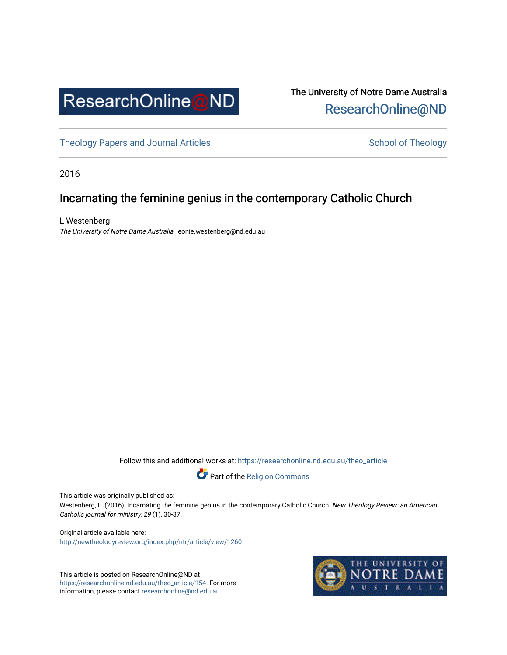

The University of Notre Dame Australia [ResearchOnline@ND](https://researchonline.nd.edu.au/) 

[Theology Papers and Journal Articles](https://researchonline.nd.edu.au/theo_article) and [School of Theology](https://researchonline.nd.edu.au/theo) School of Theology

2016

## Incarnating the feminine genius in the contemporary Catholic Church

L Westenberg The University of Notre Dame Australia, leonie.westenberg@nd.edu.au

Follow this and additional works at: [https://researchonline.nd.edu.au/theo\\_article](https://researchonline.nd.edu.au/theo_article?utm_source=researchonline.nd.edu.au%2Ftheo_article%2F154&utm_medium=PDF&utm_campaign=PDFCoverPages) 



This article was originally published as:

Westenberg, L. (2016). Incarnating the feminine genius in the contemporary Catholic Church. New Theology Review: an American Catholic journal for ministry, 29 (1), 30-37.

Original article available here: <http://newtheologyreview.org/index.php/ntr/article/view/1260>

This article is posted on ResearchOnline@ND at [https://researchonline.nd.edu.au/theo\\_article/154](https://researchonline.nd.edu.au/theo_article/154). For more information, please contact [researchonline@nd.edu.au.](mailto:researchonline@nd.edu.au)

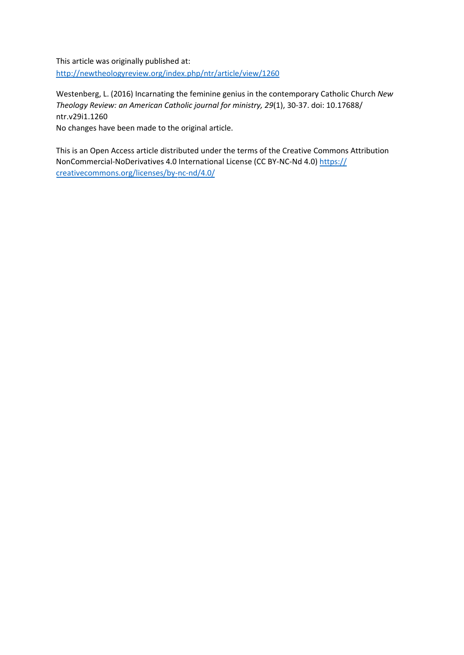This article was originally published at: <http://newtheologyreview.org/index.php/ntr/article/view/1260>

Westenberg, L. (2016) Incarnating the feminine genius in the contemporary Catholic Church *New Theology Review: an American Catholic journal for ministry, 29*(1), 30-37. doi: 10.17688/ ntr.v29i1.1260

No changes have been made to the original article.

This is an Open Access article distributed under the terms of the Creative Commons Attribution NonCommercial-NoDerivatives 4.0 International License [\(CC BY-NC-Nd 4.0\)](https://creativecommons.org/licenses/by-nc-nd/4.0/) https:// [creativecom](https://creativecommons.org/licenses/by-nc-nd/4.0/)mons.org/licenses/by-nc-nd/4.0/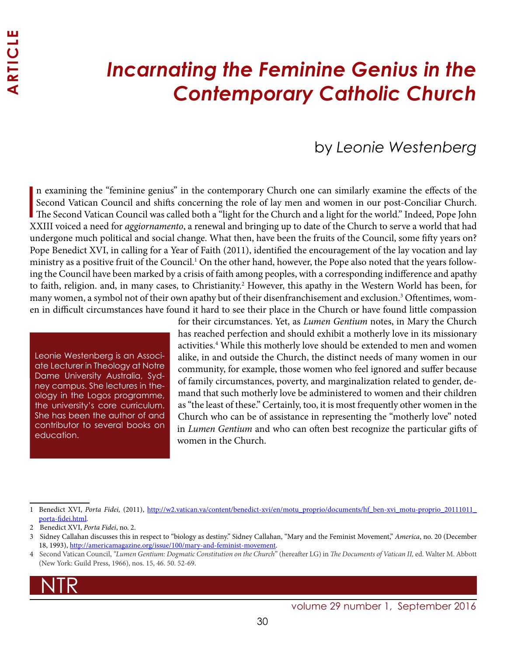# RTICLE **ARTICLE**

## *Incarnating the Feminine Genius in the Contemporary Catholic Church*

## by *Leonie Westenberg*

 $\overline{\mathbf{I}}$ n examining the "feminine genius" in the contemporary Church one can similarly examine the effects of the Second Vatican Council and shifts concerning the role of lay men and women in our post-Conciliar Church. The Second Vatican Council was called both a "light for the Church and a light for the world." Indeed, Pope John XXIII voiced a need for *aggiornamento*, a renewal and bringing up to date of the Church to serve a world that had undergone much political and social change. What then, have been the fruits of the Council, some fifty years on? Pope Benedict XVI, in calling for a Year of Faith (2011), identified the encouragement of the lay vocation and lay ministry as a positive fruit of the Council.<sup>1</sup> On the other hand, however, the Pope also noted that the years following the Council have been marked by a crisis of faith among peoples, with a corresponding indifference and apathy to faith, religion. and, in many cases, to Christianity.<sup>2</sup> However, this apathy in the Western World has been, for many women, a symbol not of their own apathy but of their disenfranchisement and exclusion.<sup>3</sup> Oftentimes, women in difficult circumstances have found it hard to see their place in the Church or have found little compassion

Leonie Westenberg is an Associate Lecturer in Theology at Notre Dame University Australia, Sydney campus. She lectures in theology in the Logos programme, the university's core curriculum. She has been the author of and contributor to several books on education.

for their circumstances. Yet, as *Lumen Gentium* notes, in Mary the Church has reached perfection and should exhibit a motherly love in its missionary activities.<sup>4</sup> While this motherly love should be extended to men and women alike, in and outside the Church, the distinct needs of many women in our community, for example, those women who feel ignored and suffer because of family circumstances, poverty, and marginalization related to gender, demand that such motherly love be administered to women and their children as "the least of these." Certainly, too, it is most frequently other women in the Church who can be of assistance in representing the "motherly love" noted in *Lumen Gentium* and who can often best recognize the particular gifts of women in the Church.

<sup>4</sup> Second Vatican Council, *"Lumen Gentium: Dogmatic Constitution on the Church*" (hereafter LG) in *The Documents of Vatican II,* ed. Walter M. Abbott (New York: Guild Press, 1966), nos. 15, 46. 50. 52-69.



volume 29 number 1, September 2016

<sup>1</sup> Benedict XVI, *Porta Fidei,* (2011), [http://w2.vatican.va/content/benedict-xvi/en/motu\\_proprio/documents/hf\\_ben-xvi\\_motu-proprio\\_20111011\\_](http://w2.vatican.va/content/benedict-xvi/en/motu_proprio/documents/hf_ben-xvi_motu-proprio_20111011_porta-fidei.html) [porta-fidei.html.](http://w2.vatican.va/content/benedict-xvi/en/motu_proprio/documents/hf_ben-xvi_motu-proprio_20111011_porta-fidei.html)

<sup>2</sup> Benedict XVI, *Porta Fidei*, no. 2.

<sup>3</sup> Sidney Callahan discusses this in respect to "biology as destiny." Sidney Callahan, "Mary and the Feminist Movement," *America*, no. 20 (December 18, 1993),<http://americamagazine.org/issue/100/mary-and-feminist-movement>.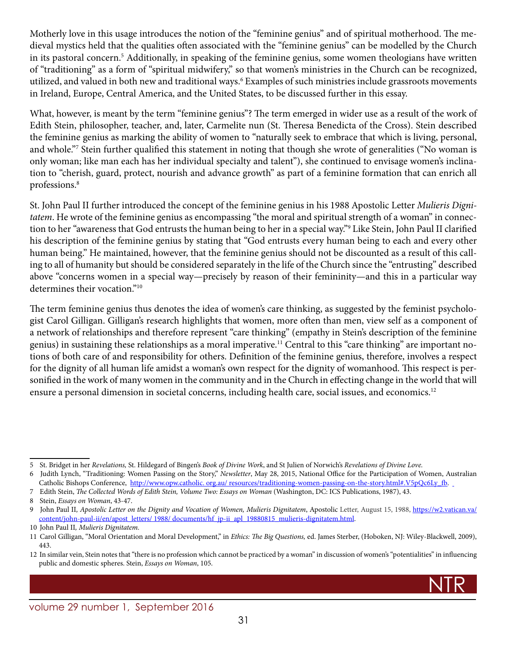Motherly love in this usage introduces the notion of the "feminine genius" and of spiritual motherhood. The medieval mystics held that the qualities often associated with the "feminine genius" can be modelled by the Church in its pastoral concern.5 Additionally, in speaking of the feminine genius, some women theologians have written of "traditioning" as a form of "spiritual midwifery," so that women's ministries in the Church can be recognized, utilized, and valued in both new and traditional ways.<sup>6</sup> Examples of such ministries include grassroots movements in Ireland, Europe, Central America, and the United States, to be discussed further in this essay.

What, however, is meant by the term "feminine genius"? The term emerged in wider use as a result of the work of Edith Stein, philosopher, teacher, and, later, Carmelite nun (St. Theresa Benedicta of the Cross). Stein described the feminine genius as marking the ability of women to "naturally seek to embrace that which is living, personal, and whole."7 Stein further qualified this statement in noting that though she wrote of generalities ("No woman is only woman; like man each has her individual specialty and talent"), she continued to envisage women's inclination to "cherish, guard, protect, nourish and advance growth" as part of a feminine formation that can enrich all professions.<sup>8</sup>

St. John Paul II further introduced the concept of the feminine genius in his 1988 Apostolic Letter *Mulieris Dignitatem*. He wrote of the feminine genius as encompassing "the moral and spiritual strength of a woman" in connection to her "awareness that God entrusts the human being to her in a special way."9 Like Stein, John Paul II clarified his description of the feminine genius by stating that "God entrusts every human being to each and every other human being." He maintained, however, that the feminine genius should not be discounted as a result of this calling to all of humanity but should be considered separately in the life of the Church since the "entrusting" described above "concerns women in a special way—precisely by reason of their femininity—and this in a particular way determines their vocation."10

The term feminine genius thus denotes the idea of women's care thinking, as suggested by the feminist psychologist Carol Gilligan. Gilligan's research highlights that women, more often than men, view self as a component of a network of relationships and therefore represent "care thinking" (empathy in Stein's description of the feminine genius) in sustaining these relationships as a moral imperative.<sup>11</sup> Central to this "care thinking" are important notions of both care of and responsibility for others. Definition of the feminine genius, therefore, involves a respect for the dignity of all human life amidst a woman's own respect for the dignity of womanhood. This respect is personified in the work of many women in the community and in the Church in effecting change in the world that will ensure a personal dimension in societal concerns, including health care, social issues, and economics.12

NTR

<sup>5</sup> St. Bridget in her *Revelations,* St. Hildegard of Bingen's *Book of Divine Work*, and St Julien of Norwich's *Revelations of Divine Love.*

<sup>6</sup> Judith Lynch, "Traditioning: Women Passing on the Story," *Newsletter*, May 28, 2015, National Office for the Participation of Women, Australian Catholic Bishops Conference, http://www.opw.catholic. org.au/ resources/traditioning-women-passing-on-the-story.html#.V5pQc6Ly\_fb.

<sup>7</sup> Edith Stein, *The Collected Words of Edith Stein, Volume Two: Essays on Woman* (Washington, DC: ICS Publications, 1987), 43.

<sup>8</sup> Stein, *Essays on Woman*, 43-47.

<sup>9</sup> John Paul II*, Apostolic Letter on the Dignity and Vocation of Women, Mulieris Dignitatem*, Apostolic Letter, August 15, 1988, [https://w2.vatican.va/](https://w2.vatican.va/content/john-paul-ii/en/apost_letters/%201988/%20documents/hf_jp-ii_apl_19880815_mulieris-dignitatem.html) [content/john-paul-ii/en/apost\\_letters/ 1988/ documents/hf\\_jp-ii\\_apl\\_19880815\\_mulieris-dignitatem.html.](https://w2.vatican.va/content/john-paul-ii/en/apost_letters/%201988/%20documents/hf_jp-ii_apl_19880815_mulieris-dignitatem.html)

<sup>10</sup> John Paul II*, Mulieris Dignitatem.*

<sup>11</sup> Carol Gilligan, "Moral Orientation and Moral Development," in *Ethics: The Big Questions,* ed. James Sterber, (Hoboken, NJ: Wiley-Blackwell, 2009), 443.

<sup>12</sup> In similar vein, Stein notes that "there is no profession which cannot be practiced by a woman" in discussion of women's "potentialities" in influencing public and domestic spheres. Stein, *Essays on Woman*, 105.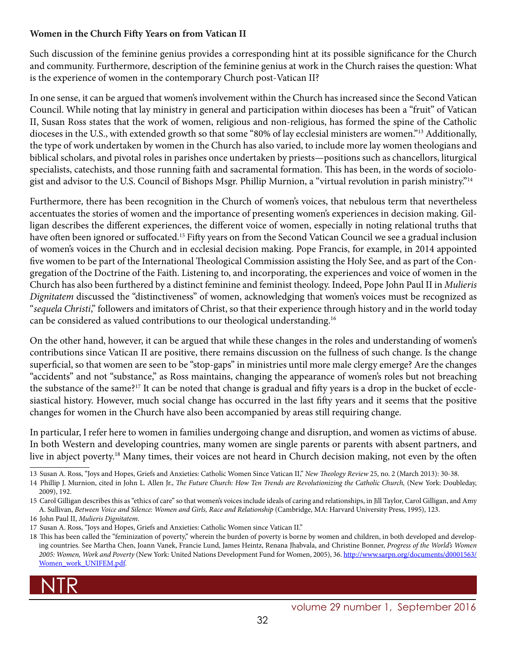## **Women in the Church Fifty Years on from Vatican II**

Such discussion of the feminine genius provides a corresponding hint at its possible significance for the Church and community. Furthermore, description of the feminine genius at work in the Church raises the question: What is the experience of women in the contemporary Church post-Vatican II?

In one sense, it can be argued that women's involvement within the Church has increased since the Second Vatican Council. While noting that lay ministry in general and participation within dioceses has been a "fruit" of Vatican II, Susan Ross states that the work of women, religious and non-religious, has formed the spine of the Catholic dioceses in the U.S., with extended growth so that some "80% of lay ecclesial ministers are women."13 Additionally, the type of work undertaken by women in the Church has also varied, to include more lay women theologians and biblical scholars, and pivotal roles in parishes once undertaken by priests—positions such as chancellors, liturgical specialists, catechists, and those running faith and sacramental formation. This has been, in the words of sociologist and advisor to the U.S. Council of Bishops Msgr. Phillip Murnion, a "virtual revolution in parish ministry."14

Furthermore, there has been recognition in the Church of women's voices, that nebulous term that nevertheless accentuates the stories of women and the importance of presenting women's experiences in decision making. Gilligan describes the different experiences, the different voice of women, especially in noting relational truths that have often been ignored or suffocated.<sup>15</sup> Fifty years on from the Second Vatican Council we see a gradual inclusion of women's voices in the Church and in ecclesial decision making. Pope Francis, for example, in 2014 appointed five women to be part of the International Theological Commission assisting the Holy See, and as part of the Congregation of the Doctrine of the Faith. Listening to, and incorporating, the experiences and voice of women in the Church has also been furthered by a distinct feminine and feminist theology. Indeed, Pope John Paul II in *Mulieris Dignitatem* discussed the "distinctiveness" of women, acknowledging that women's voices must be recognized as "*sequela Christi*," followers and imitators of Christ, so that their experience through history and in the world today can be considered as valued contributions to our theological understanding.16

On the other hand, however, it can be argued that while these changes in the roles and understanding of women's contributions since Vatican II are positive, there remains discussion on the fullness of such change. Is the change superficial, so that women are seen to be "stop-gaps" in ministries until more male clergy emerge? Are the changes "accidents" and not "substance," as Ross maintains, changing the appearance of women's roles but not breaching the substance of the same?<sup>17</sup> It can be noted that change is gradual and fifty years is a drop in the bucket of ecclesiastical history. However, much social change has occurred in the last fifty years and it seems that the positive changes for women in the Church have also been accompanied by areas still requiring change.

In particular, I refer here to women in families undergoing change and disruption, and women as victims of abuse. In both Western and developing countries, many women are single parents or parents with absent partners, and live in abject poverty.<sup>18</sup> Many times, their voices are not heard in Church decision making, not even by the often

13 Susan A. Ross, "Joys and Hopes, Griefs and Anxieties: Catholic Women Since Vatican II," *New Theology Review* 25, no. 2 (March 2013): 30-38.

<sup>18</sup> This has been called the "feminization of poverty," wherein the burden of poverty is borne by women and children, in both developed and developing countries. See Martha Chen, Joann Vanek, Francie Lund, James Heintz, Renana Jhabvala, and Christine Bonner, *Progress of the World's Women 2005: Women, Work and Poverty* (New York: United Nations Development Fund for Women, 2005), 36. http://www.sarpn.org/documents/d0001563/ Women\_work\_UNIFEM.pdf.



<sup>14</sup> Phillip J. Murnion, cited in John L. Allen Jr., *The Future Church: How Ten Trends are Revolutionizing the Catholic Church,* (New York: Doubleday, 2009), 192.

<sup>15</sup> Carol Gilligan describes this as "ethics of care" so that women's voices include ideals of caring and relationships, in Jill Taylor, Carol Gilligan, and Amy A. Sullivan, *Between Voice and Silence: Women and Girls, Race and Relationship* (Cambridge, MA: Harvard University Press, 1995), 123. 16 John Paul II, *Mulieris Dignitatem*.

<sup>17</sup> Susan A. Ross, "Joys and Hopes, Griefs and Anxieties: Catholic Women since Vatican II."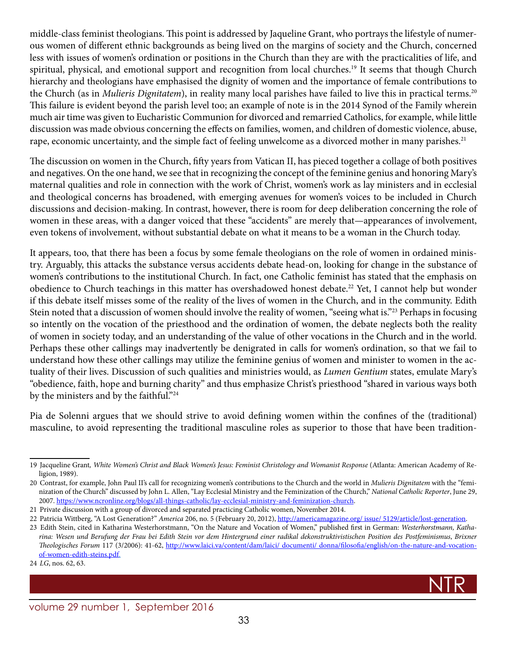middle-class feminist theologians. This point is addressed by Jaqueline Grant, who portrays the lifestyle of numerous women of different ethnic backgrounds as being lived on the margins of society and the Church, concerned less with issues of women's ordination or positions in the Church than they are with the practicalities of life, and spiritual, physical, and emotional support and recognition from local churches.19 It seems that though Church hierarchy and theologians have emphasised the dignity of women and the importance of female contributions to the Church (as in *Mulieris Dignitatem*), in reality many local parishes have failed to live this in practical terms.<sup>20</sup> This failure is evident beyond the parish level too; an example of note is in the 2014 Synod of the Family wherein much air time was given to Eucharistic Communion for divorced and remarried Catholics, for example, while little discussion was made obvious concerning the effects on families, women, and children of domestic violence, abuse, rape, economic uncertainty, and the simple fact of feeling unwelcome as a divorced mother in many parishes.<sup>21</sup>

The discussion on women in the Church, fifty years from Vatican II, has pieced together a collage of both positives and negatives. On the one hand, we see that in recognizing the concept of the feminine genius and honoring Mary's maternal qualities and role in connection with the work of Christ, women's work as lay ministers and in ecclesial and theological concerns has broadened, with emerging avenues for women's voices to be included in Church discussions and decision-making. In contrast, however, there is room for deep deliberation concerning the role of women in these areas, with a danger voiced that these "accidents" are merely that—appearances of involvement, even tokens of involvement, without substantial debate on what it means to be a woman in the Church today.

It appears, too, that there has been a focus by some female theologians on the role of women in ordained ministry. Arguably, this attacks the substance versus accidents debate head-on, looking for change in the substance of women's contributions to the institutional Church. In fact, one Catholic feminist has stated that the emphasis on obedience to Church teachings in this matter has overshadowed honest debate.<sup>22</sup> Yet, I cannot help but wonder if this debate itself misses some of the reality of the lives of women in the Church, and in the community. Edith Stein noted that a discussion of women should involve the reality of women, "seeing what is."23 Perhaps in focusing so intently on the vocation of the priesthood and the ordination of women, the debate neglects both the reality of women in society today, and an understanding of the value of other vocations in the Church and in the world. Perhaps these other callings may inadvertently be denigrated in calls for women's ordination, so that we fail to understand how these other callings may utilize the feminine genius of women and minister to women in the actuality of their lives. Discussion of such qualities and ministries would, as *Lumen Gentium* states, emulate Mary's "obedience, faith, hope and burning charity" and thus emphasize Christ's priesthood "shared in various ways both by the ministers and by the faithful."<sup>24</sup>

Pia de Solenni argues that we should strive to avoid defining women within the confines of the (traditional) masculine, to avoid representing the traditional masculine roles as superior to those that have been tradition-

NTR

<sup>19</sup> Jacqueline Grant, White Women's Christ and Black Women's Jesus: Feminist Christology and Womanist Response (Atlanta: American Academy of Religion, 1989).

<sup>20</sup> Contrast, for example, John Paul II's call for recognizing women's contributions to the Church and the world in *Mulieris Dignitatem* with the "feminization of the Church" discussed by John L. Allen, "Lay Ecclesial Ministry and the Feminization of the Church," *National Catholic Reporter*, June 29, 2007.<https://www.ncronline.org/blogs/all-things-catholic/lay-ecclesial-ministry-and-feminization-church>.

<sup>21</sup> Private discussion with a group of divorced and separated practicing Catholic women, November 2014.

<sup>22</sup> Patricia Wittberg, "A Lost Generation?" *America* 206, no. 5 (February 20, 2012), [http://americamagazine.org/ issue/ 5129/article/lost-generation.](http://americamagazine.org/%20issue/%205129/article/lost-generation)

<sup>23</sup> Edith Stein, cited in Katharina Westerhorstmann, "On the Nature and Vocation of Women," published first in German: *Westerhorstmann, Katharina: Wesen und Berufung der Frau bei Edith Stein vor dem Hintergrund einer radikal dekonstruktivistischen Position des Postfeminismus*, *Brixner Theologisches Forum* 117 (3/2006): 41-62, [http://www.laici.va/content/dam/laici/ documenti/ donna/filosofia/english/on-the-nature-and-vocation](http://www.laici.va/content/dam/laici/%20documenti/%20donna/filosofia/english/on-the-nature-and-vocation-of-women-edith-steins.pdf)[of-women-edith-steins.pdf.](http://www.laici.va/content/dam/laici/%20documenti/%20donna/filosofia/english/on-the-nature-and-vocation-of-women-edith-steins.pdf)

<sup>24</sup> *LG*, nos. 62, 63.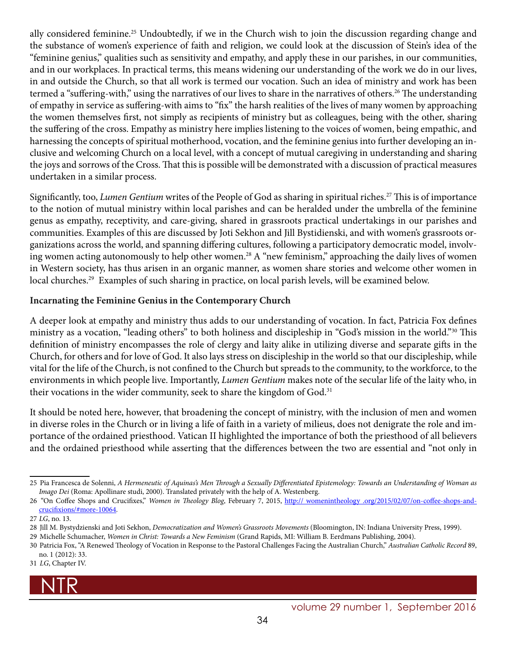ally considered feminine.25 Undoubtedly, if we in the Church wish to join the discussion regarding change and the substance of women's experience of faith and religion, we could look at the discussion of Stein's idea of the "feminine genius," qualities such as sensitivity and empathy, and apply these in our parishes, in our communities, and in our workplaces. In practical terms, this means widening our understanding of the work we do in our lives, in and outside the Church, so that all work is termed our vocation. Such an idea of ministry and work has been termed a "suffering-with," using the narratives of our lives to share in the narratives of others.<sup>26</sup> The understanding of empathy in service as suffering-with aims to "fix" the harsh realities of the lives of many women by approaching the women themselves first, not simply as recipients of ministry but as colleagues, being with the other, sharing the suffering of the cross. Empathy as ministry here implies listening to the voices of women, being empathic, and harnessing the concepts of spiritual motherhood, vocation, and the feminine genius into further developing an inclusive and welcoming Church on a local level, with a concept of mutual caregiving in understanding and sharing the joys and sorrows of the Cross. That this is possible will be demonstrated with a discussion of practical measures undertaken in a similar process.

Significantly, too, *Lumen Gentium* writes of the People of God as sharing in spiritual riches.<sup>27</sup> This is of importance to the notion of mutual ministry within local parishes and can be heralded under the umbrella of the feminine genus as empathy, receptivity, and care-giving, shared in grassroots practical undertakings in our parishes and communities. Examples of this are discussed by Joti Sekhon and Jill Bystidienski, and with women's grassroots organizations across the world, and spanning differing cultures, following a participatory democratic model, involving women acting autonomously to help other women.<sup>28</sup> A "new feminism," approaching the daily lives of women in Western society, has thus arisen in an organic manner, as women share stories and welcome other women in local churches.<sup>29</sup> Examples of such sharing in practice, on local parish levels, will be examined below.

### **Incarnating the Feminine Genius in the Contemporary Church**

A deeper look at empathy and ministry thus adds to our understanding of vocation. In fact, Patricia Fox defines ministry as a vocation, "leading others" to both holiness and discipleship in "God's mission in the world."30 This definition of ministry encompasses the role of clergy and laity alike in utilizing diverse and separate gifts in the Church, for others and for love of God. It also lays stress on discipleship in the world so that our discipleship, while vital for the life of the Church, is not confined to the Church but spreads to the community, to the workforce, to the environments in which people live. Importantly, *Lumen Gentium* makes note of the secular life of the laity who, in their vocations in the wider community, seek to share the kingdom of God.<sup>31</sup>

It should be noted here, however, that broadening the concept of ministry, with the inclusion of men and women in diverse roles in the Church or in living a life of faith in a variety of milieus, does not denigrate the role and importance of the ordained priesthood. Vatican II highlighted the importance of both the priesthood of all believers and the ordained priesthood while asserting that the differences between the two are essential and "not only in

<sup>31</sup> *LG*, Chapter IV.



<sup>25</sup> Pia Francesca de Solenni, *A Hermeneutic of Aquinas's Men Through a Sexually Differentiated Epistemology: Towards an Understanding of Woman as Imago Dei* (Roma: Apollinare studi, 2000). Translated privately with the help of A. Westenberg.

<sup>26 &</sup>quot;On Coffee Shops and Crucifixes," *Women in Theology Blog*, February 7, 2015, http:// womenintheology .org/2015/02/07/on-coffee-shops-andcrucifixions/#more-10064.

<sup>27</sup> *LG*, no. 13.

<sup>28</sup> Jill M. Bystydzienski and Joti Sekhon, *Democratization and Women's Grassroots Movements* (Bloomington, IN: Indiana University Press, 1999).

<sup>29</sup> Michelle Schumacher, *Women in Christ: Towards a New Feminism* (Grand Rapids, MI: William B. Eerdmans Publishing, 2004).

<sup>30</sup> Patricia Fox, "A Renewed Theology of Vocation in Response to the Pastoral Challenges Facing the Australian Church," *Australian Catholic Record* 89, no. 1 (2012): 33.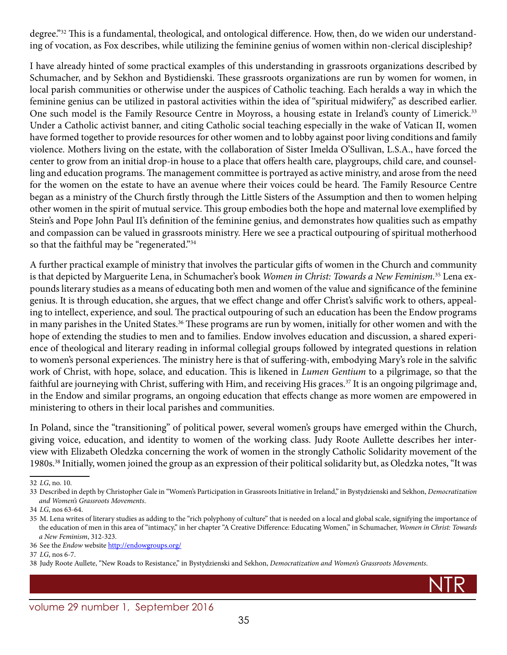degree."32 This is a fundamental, theological, and ontological difference. How, then, do we widen our understanding of vocation, as Fox describes, while utilizing the feminine genius of women within non-clerical discipleship?

I have already hinted of some practical examples of this understanding in grassroots organizations described by Schumacher, and by Sekhon and Bystidienski. These grassroots organizations are run by women for women, in local parish communities or otherwise under the auspices of Catholic teaching. Each heralds a way in which the feminine genius can be utilized in pastoral activities within the idea of "spiritual midwifery," as described earlier. One such model is the Family Resource Centre in Moyross, a housing estate in Ireland's county of Limerick.<sup>33</sup> Under a Catholic activist banner, and citing Catholic social teaching especially in the wake of Vatican II, women have formed together to provide resources for other women and to lobby against poor living conditions and family violence. Mothers living on the estate, with the collaboration of Sister Imelda O'Sullivan, L.S.A., have forced the center to grow from an initial drop-in house to a place that offers health care, playgroups, child care, and counselling and education programs. The management committee is portrayed as active ministry, and arose from the need for the women on the estate to have an avenue where their voices could be heard. The Family Resource Centre began as a ministry of the Church firstly through the Little Sisters of the Assumption and then to women helping other women in the spirit of mutual service. This group embodies both the hope and maternal love exemplified by Stein's and Pope John Paul II's definition of the feminine genius, and demonstrates how qualities such as empathy and compassion can be valued in grassroots ministry. Here we see a practical outpouring of spiritual motherhood so that the faithful may be "regenerated."<sup>34</sup>

A further practical example of ministry that involves the particular gifts of women in the Church and community is that depicted by Marguerite Lena, in Schumacher's book *Women in Christ: Towards a New Feminism.*35 Lena expounds literary studies as a means of educating both men and women of the value and significance of the feminine genius. It is through education, she argues, that we effect change and offer Christ's salvific work to others, appealing to intellect, experience, and soul. The practical outpouring of such an education has been the Endow programs in many parishes in the United States.<sup>36</sup> These programs are run by women, initially for other women and with the hope of extending the studies to men and to families. Endow involves education and discussion, a shared experience of theological and literary reading in informal collegial groups followed by integrated questions in relation to women's personal experiences. The ministry here is that of suffering-with, embodying Mary's role in the salvific work of Christ, with hope, solace, and education. This is likened in *Lumen Gentium* to a pilgrimage, so that the faithful are journeying with Christ, suffering with Him, and receiving His graces.<sup>37</sup> It is an ongoing pilgrimage and, in the Endow and similar programs, an ongoing education that effects change as more women are empowered in ministering to others in their local parishes and communities.

In Poland, since the "transitioning" of political power, several women's groups have emerged within the Church, giving voice, education, and identity to women of the working class. Judy Roote Aullette describes her interview with Elizabeth Oledzka concerning the work of women in the strongly Catholic Solidarity movement of the 1980s.38 Initially, women joined the group as an expression of their political solidarity but, as Oledzka notes, "It was

32 *LG*, no. 10.

NTR

<sup>33</sup> Described in depth by Christopher Gale in "Women's Participation in Grassroots Initiative in Ireland," in Bystydzienski and Sekhon, *Democratization and Women's Grassroots Movements*.

<sup>34</sup> *LG*, nos 63-64.

<sup>35</sup> M. Lena writes of literary studies as adding to the "rich polyphony of culture" that is needed on a local and global scale, signifying the importance of the education of men in this area of "intimacy," in her chapter "A Creative Difference: Educating Women," in Schumacher, *Women in Christ: Towards a New Feminism*, 312-323.

<sup>36</sup> See the *Endow* website <http://endowgroups.org/>

<sup>37</sup> *LG*, nos 6-7.

<sup>38</sup> Judy Roote Aullete, "New Roads to Resistance," in Bystydzienski and Sekhon, *Democratization and Women's Grassroots Movements*.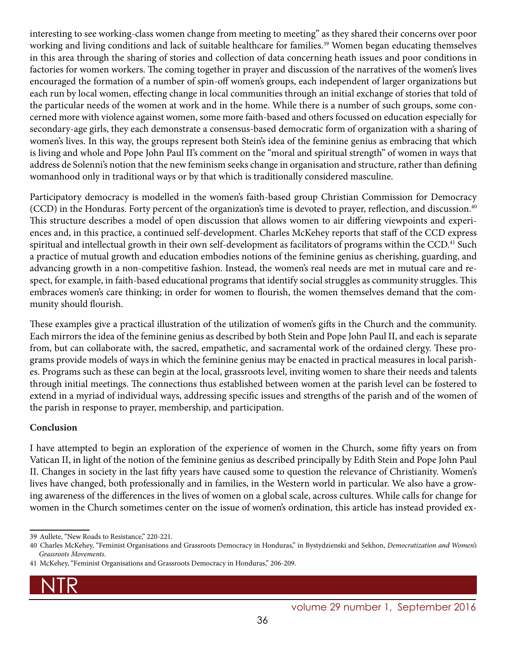interesting to see working-class women change from meeting to meeting" as they shared their concerns over poor working and living conditions and lack of suitable healthcare for families.<sup>39</sup> Women began educating themselves in this area through the sharing of stories and collection of data concerning heath issues and poor conditions in factories for women workers. The coming together in prayer and discussion of the narratives of the women's lives encouraged the formation of a number of spin-off women's groups, each independent of larger organizations but each run by local women, effecting change in local communities through an initial exchange of stories that told of the particular needs of the women at work and in the home. While there is a number of such groups, some concerned more with violence against women, some more faith-based and others focussed on education especially for secondary-age girls, they each demonstrate a consensus-based democratic form of organization with a sharing of women's lives. In this way, the groups represent both Stein's idea of the feminine genius as embracing that which is living and whole and Pope John Paul II's comment on the "moral and spiritual strength" of women in ways that address de Solenni's notion that the new feminism seeks change in organisation and structure, rather than defining womanhood only in traditional ways or by that which is traditionally considered masculine.

Participatory democracy is modelled in the women's faith-based group Christian Commission for Democracy (CCD) in the Honduras. Forty percent of the organization's time is devoted to prayer, reflection, and discussion.<sup>40</sup> This structure describes a model of open discussion that allows women to air differing viewpoints and experiences and, in this practice, a continued self-development. Charles McKehey reports that staff of the CCD express spiritual and intellectual growth in their own self-development as facilitators of programs within the CCD.<sup>41</sup> Such a practice of mutual growth and education embodies notions of the feminine genius as cherishing, guarding, and advancing growth in a non-competitive fashion. Instead, the women's real needs are met in mutual care and respect, for example, in faith-based educational programs that identify social struggles as community struggles. This embraces women's care thinking; in order for women to flourish, the women themselves demand that the community should flourish.

These examples give a practical illustration of the utilization of women's gifts in the Church and the community. Each mirrors the idea of the feminine genius as described by both Stein and Pope John Paul II, and each is separate from, but can collaborate with, the sacred, empathetic, and sacramental work of the ordained clergy. These programs provide models of ways in which the feminine genius may be enacted in practical measures in local parishes. Programs such as these can begin at the local, grassroots level, inviting women to share their needs and talents through initial meetings. The connections thus established between women at the parish level can be fostered to extend in a myriad of individual ways, addressing specific issues and strengths of the parish and of the women of the parish in response to prayer, membership, and participation.

#### **Conclusion**

I have attempted to begin an exploration of the experience of women in the Church, some fifty years on from Vatican II, in light of the notion of the feminine genius as described principally by Edith Stein and Pope John Paul II. Changes in society in the last fifty years have caused some to question the relevance of Christianity. Women's lives have changed, both professionally and in families, in the Western world in particular. We also have a growing awareness of the differences in the lives of women on a global scale, across cultures. While calls for change for women in the Church sometimes center on the issue of women's ordination, this article has instead provided ex-

<sup>41</sup> McKehey, "Feminist Organisations and Grassroots Democracy in Honduras," 206-209.



<sup>39</sup> Aullete, "New Roads to Resistance," 220-221.

<sup>40</sup> Charles McKehey, "Feminist Organisations and Grassroots Democracy in Honduras," in Bystydzienski and Sekhon, *Democratization and Women's Grassroots Movements*.